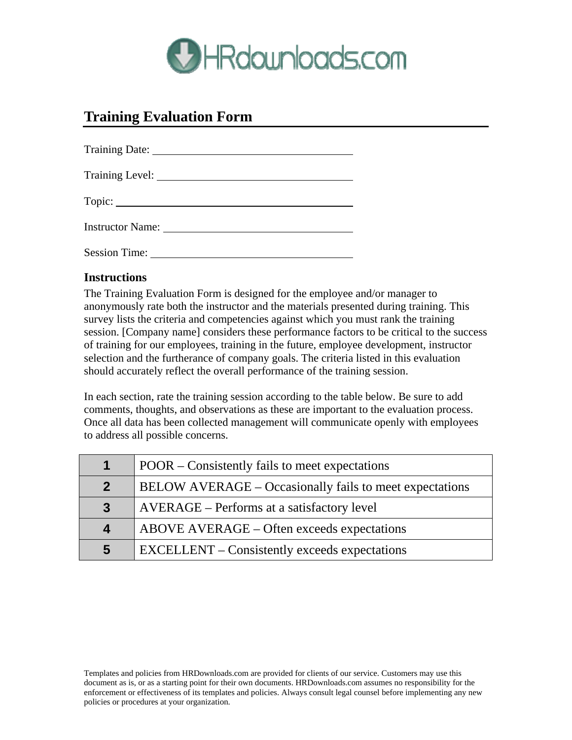

## **Training Evaluation Form**

|                      | Training Date: 1996.    |
|----------------------|-------------------------|
|                      |                         |
|                      |                         |
|                      | <b>Instructor Name:</b> |
| <b>Session Time:</b> |                         |

## **Instructions**

The Training Evaluation Form is designed for the employee and/or manager to anonymously rate both the instructor and the materials presented during training. This survey lists the criteria and competencies against which you must rank the training session. [Company name] considers these performance factors to be critical to the success of training for our employees, training in the future, employee development, instructor selection and the furtherance of company goals. The criteria listed in this evaluation should accurately reflect the overall performance of the training session.

In each section, rate the training session according to the table below. Be sure to add comments, thoughts, and observations as these are important to the evaluation process. Once all data has been collected management will communicate openly with employees to address all possible concerns.

| $\mathbf 1$      | POOR – Consistently fails to meet expectations          |
|------------------|---------------------------------------------------------|
| 2 <sup>1</sup>   | BELOW AVERAGE – Occasionally fails to meet expectations |
| $\mathbf{3}$     | AVERAGE – Performs at a satisfactory level              |
| $\boldsymbol{4}$ | ABOVE AVERAGE – Often exceeds expectations              |
| 5                | <b>EXCELLENT</b> – Consistently exceeds expectations    |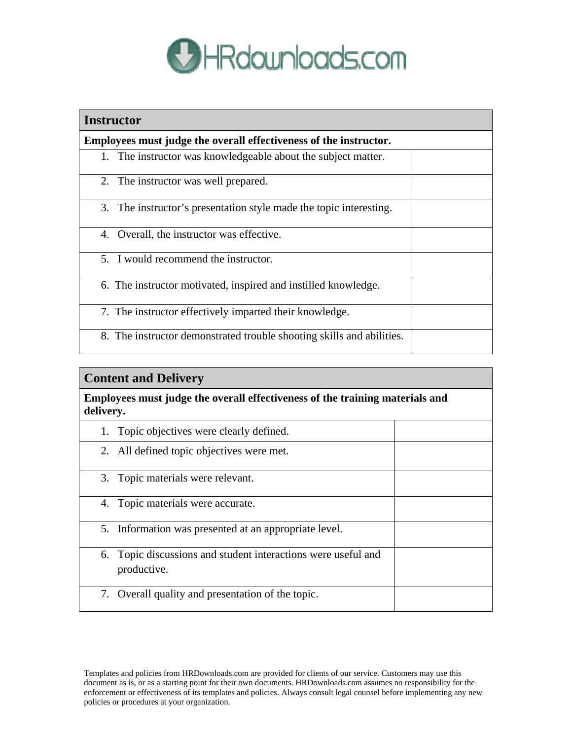

| <b>Instructor</b>                                                     |  |  |
|-----------------------------------------------------------------------|--|--|
| Employees must judge the overall effectiveness of the instructor.     |  |  |
| 1. The instructor was knowledgeable about the subject matter.         |  |  |
| 2. The instructor was well prepared.                                  |  |  |
| 3. The instructor's presentation style made the topic interesting.    |  |  |
| 4. Overall, the instructor was effective.                             |  |  |
| 5. I would recommend the instructor.                                  |  |  |
| 6. The instructor motivated, inspired and instilled knowledge.        |  |  |
| 7. The instructor effectively imparted their knowledge.               |  |  |
| 8. The instructor demonstrated trouble shooting skills and abilities. |  |  |

## **Content and Delivery**

**Employees must judge the overall effectiveness of the training materials and delivery.** 

| 1. Topic objectives were clearly defined.                                    |  |
|------------------------------------------------------------------------------|--|
| 2. All defined topic objectives were met.                                    |  |
| 3. Topic materials were relevant.                                            |  |
| 4. Topic materials were accurate.                                            |  |
| 5. Information was presented at an appropriate level.                        |  |
| 6. Topic discussions and student interactions were useful and<br>productive. |  |
| 7. Overall quality and presentation of the topic.                            |  |

Templates and policies from HRDownloads.com are provided for clients of our service. Customers may use this document as is, or as a starting point for their own documents. HRDownloads.com assumes no responsibility for the enforcement or effectiveness of its templates and policies. Always consult legal counsel before implementing any new policies or procedures at your organization.